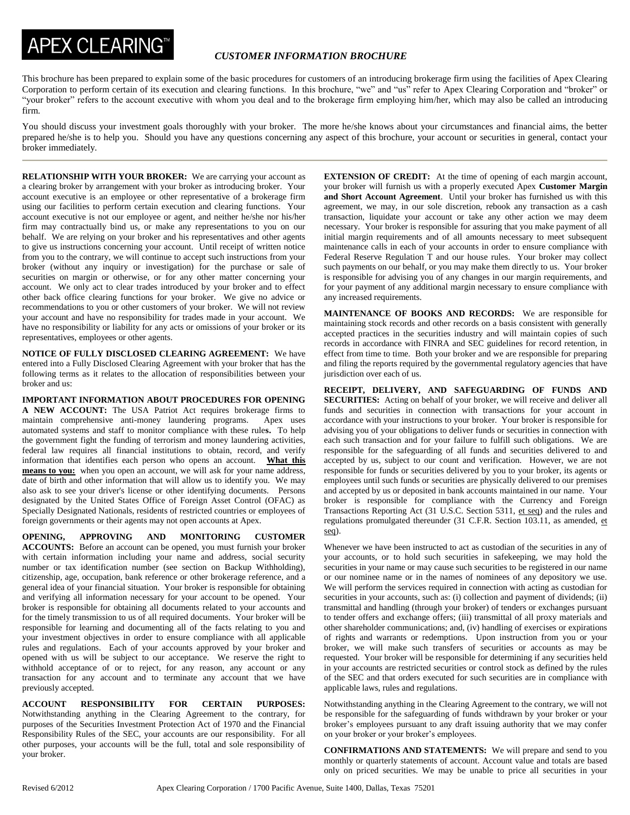## **APEX CLEARING™**

## *CUSTOMER INFORMATION BROCHURE*

This brochure has been prepared to explain some of the basic procedures for customers of an introducing brokerage firm using the facilities of Apex Clearing Corporation to perform certain of its execution and clearing functions. In this brochure, "we" and "us" refer to Apex Clearing Corporation and "broker" or "your broker" refers to the account executive with whom you deal and to the brokerage firm employing him/her, which may also be called an introducing firm.

You should discuss your investment goals thoroughly with your broker. The more he/she knows about your circumstances and financial aims, the better prepared he/she is to help you. Should you have any questions concerning any aspect of this brochure, your account or securities in general, contact your broker immediately.

**RELATIONSHIP WITH YOUR BROKER:** We are carrying your account as a clearing broker by arrangement with your broker as introducing broker. Your account executive is an employee or other representative of a brokerage firm using our facilities to perform certain execution and clearing functions. Your account executive is not our employee or agent, and neither he/she nor his/her firm may contractually bind us, or make any representations to you on our behalf. We are relying on your broker and his representatives and other agents to give us instructions concerning your account. Until receipt of written notice from you to the contrary, we will continue to accept such instructions from your broker (without any inquiry or investigation) for the purchase or sale of securities on margin or otherwise, or for any other matter concerning your account. We only act to clear trades introduced by your broker and to effect other back office clearing functions for your broker. We give no advice or recommendations to you or other customers of your broker. We will not review your account and have no responsibility for trades made in your account. We have no responsibility or liability for any acts or omissions of your broker or its representatives, employees or other agents.

**NOTICE OF FULLY DISCLOSED CLEARING AGREEMENT:** We have entered into a Fully Disclosed Clearing Agreement with your broker that has the following terms as it relates to the allocation of responsibilities between your broker and us:

**IMPORTANT INFORMATION ABOUT PROCEDURES FOR OPENING A NEW ACCOUNT:** The USA Patriot Act requires brokerage firms to maintain comprehensive anti-money laundering programs. Apex uses automated systems and staff to monitor compliance with these rule**s.** To help the government fight the funding of terrorism and money laundering activities, federal law requires all financial institutions to obtain, record, and verify information that identifies each person who opens an account. **What this means to you:** when you open an account, we will ask for your name address, date of birth and other information that will allow us to identify you. We may also ask to see your driver's license or other identifying documents. Persons designated by the United States Office of Foreign Asset Control (OFAC) as Specially Designated Nationals, residents of restricted countries or employees of foreign governments or their agents may not open accounts at Apex.

**OPENING, APPROVING AND MONITORING CUSTOMER ACCOUNTS:** Before an account can be opened, you must furnish your broker with certain information including your name and address, social security number or tax identification number (see section on Backup Withholding), citizenship, age, occupation, bank reference or other brokerage reference, and a general idea of your financial situation. Your broker is responsible for obtaining and verifying all information necessary for your account to be opened. Your broker is responsible for obtaining all documents related to your accounts and for the timely transmission to us of all required documents. Your broker will be responsible for learning and documenting all of the facts relating to you and your investment objectives in order to ensure compliance with all applicable rules and regulations. Each of your accounts approved by your broker and opened with us will be subject to our acceptance. We reserve the right to withhold acceptance of or to reject, for any reason, any account or any transaction for any account and to terminate any account that we have previously accepted.

**ACCOUNT RESPONSIBILITY FOR CERTAIN PURPOSES:** Notwithstanding anything in the Clearing Agreement to the contrary, for purposes of the Securities Investment Protection Act of 1970 and the Financial Responsibility Rules of the SEC, your accounts are our responsibility. For all other purposes, your accounts will be the full, total and sole responsibility of your broker.

**EXTENSION OF CREDIT:** At the time of opening of each margin account, your broker will furnish us with a properly executed Apex **Customer Margin and Short Account Agreement**. Until your broker has furnished us with this agreement, we may, in our sole discretion, rebook any transaction as a cash transaction, liquidate your account or take any other action we may deem necessary. Your broker is responsible for assuring that you make payment of all initial margin requirements and of all amounts necessary to meet subsequent maintenance calls in each of your accounts in order to ensure compliance with Federal Reserve Regulation T and our house rules. Your broker may collect such payments on our behalf, or you may make them directly to us. Your broker is responsible for advising you of any changes in our margin requirements, and for your payment of any additional margin necessary to ensure compliance with any increased requirements.

**MAINTENANCE OF BOOKS AND RECORDS:** We are responsible for maintaining stock records and other records on a basis consistent with generally accepted practices in the securities industry and will maintain copies of such records in accordance with FINRA and SEC guidelines for record retention, in effect from time to time. Both your broker and we are responsible for preparing and filing the reports required by the governmental regulatory agencies that have jurisdiction over each of us.

**RECEIPT, DELIVERY, AND SAFEGUARDING OF FUNDS AND SECURITIES:** Acting on behalf of your broker, we will receive and deliver all funds and securities in connection with transactions for your account in accordance with your instructions to your broker. Your broker is responsible for advising you of your obligations to deliver funds or securities in connection with each such transaction and for your failure to fulfill such obligations. We are responsible for the safeguarding of all funds and securities delivered to and accepted by us, subject to our count and verification. However, we are not responsible for funds or securities delivered by you to your broker, its agents or employees until such funds or securities are physically delivered to our premises and accepted by us or deposited in bank accounts maintained in our name. Your broker is responsible for compliance with the Currency and Foreign Transactions Reporting Act (31 U.S.C. Section 5311, et seq) and the rules and regulations promulgated thereunder (31 C.F.R. Section 103.11, as amended, et seq).

Whenever we have been instructed to act as custodian of the securities in any of your accounts, or to hold such securities in safekeeping, we may hold the securities in your name or may cause such securities to be registered in our name or our nominee name or in the names of nominees of any depository we use. We will perform the services required in connection with acting as custodian for securities in your accounts, such as: (i) collection and payment of dividends; (ii) transmittal and handling (through your broker) of tenders or exchanges pursuant to tender offers and exchange offers; (iii) transmittal of all proxy materials and other shareholder communications; and, (iv) handling of exercises or expirations of rights and warrants or redemptions. Upon instruction from you or your broker, we will make such transfers of securities or accounts as may be requested. Your broker will be responsible for determining if any securities held in your accounts are restricted securities or control stock as defined by the rules of the SEC and that orders executed for such securities are in compliance with applicable laws, rules and regulations.

Notwithstanding anything in the Clearing Agreement to the contrary, we will not be responsible for the safeguarding of funds withdrawn by your broker or your broker's employees pursuant to any draft issuing authority that we may confer on your broker or your broker's employees.

**CONFIRMATIONS AND STATEMENTS:** We will prepare and send to you monthly or quarterly statements of account. Account value and totals are based only on priced securities. We may be unable to price all securities in your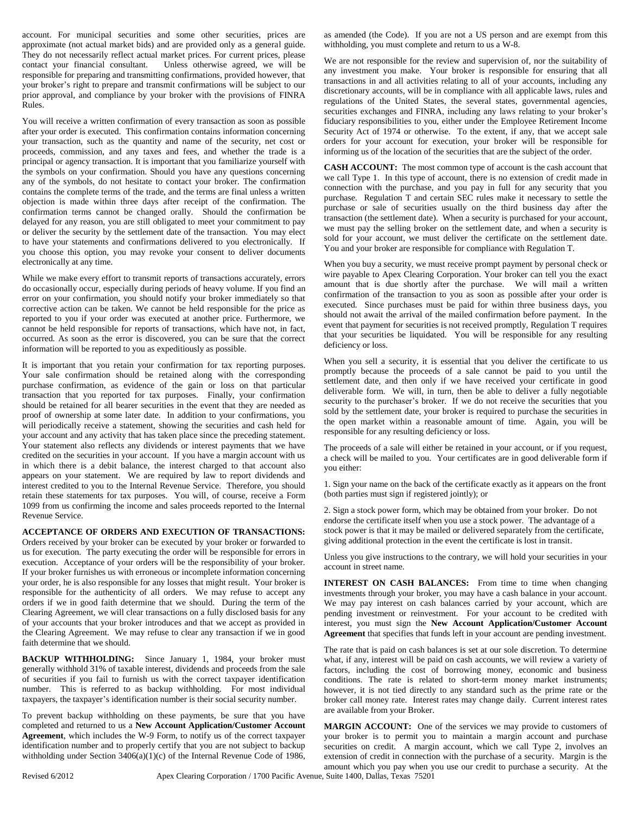account. For municipal securities and some other securities, prices are approximate (not actual market bids) and are provided only as a general guide. They do not necessarily reflect actual market prices. For current prices, please contact your financial consultant. Unless otherwise agreed, we will be responsible for preparing and transmitting confirmations, provided however, that your broker's right to prepare and transmit confirmations will be subject to our prior approval, and compliance by your broker with the provisions of FINRA Rules.

You will receive a written confirmation of every transaction as soon as possible after your order is executed. This confirmation contains information concerning your transaction, such as the quantity and name of the security, net cost or proceeds, commission, and any taxes and fees, and whether the trade is a principal or agency transaction. It is important that you familiarize yourself with the symbols on your confirmation. Should you have any questions concerning any of the symbols, do not hesitate to contact your broker. The confirmation contains the complete terms of the trade, and the terms are final unless a written objection is made within three days after receipt of the confirmation. The confirmation terms cannot be changed orally. Should the confirmation be delayed for any reason, you are still obligated to meet your commitment to pay or deliver the security by the settlement date of the transaction. You may elect to have your statements and confirmations delivered to you electronically. If you choose this option, you may revoke your consent to deliver documents electronically at any time.

While we make every effort to transmit reports of transactions accurately, errors do occasionally occur, especially during periods of heavy volume. If you find an error on your confirmation, you should notify your broker immediately so that corrective action can be taken. We cannot be held responsible for the price as reported to you if your order was executed at another price. Furthermore, we cannot be held responsible for reports of transactions, which have not, in fact, occurred. As soon as the error is discovered, you can be sure that the correct information will be reported to you as expeditiously as possible.

It is important that you retain your confirmation for tax reporting purposes. Your sale confirmation should be retained along with the corresponding purchase confirmation, as evidence of the gain or loss on that particular transaction that you reported for tax purposes. Finally, your confirmation should be retained for all bearer securities in the event that they are needed as proof of ownership at some later date. In addition to your confirmations, you will periodically receive a statement, showing the securities and cash held for your account and any activity that has taken place since the preceding statement. Your statement also reflects any dividends or interest payments that we have credited on the securities in your account. If you have a margin account with us in which there is a debit balance, the interest charged to that account also appears on your statement. We are required by law to report dividends and interest credited to you to the Internal Revenue Service. Therefore, you should retain these statements for tax purposes. You will, of course, receive a Form 1099 from us confirming the income and sales proceeds reported to the Internal Revenue Service.

## **ACCEPTANCE OF ORDERS AND EXECUTION OF TRANSACTIONS:**

Orders received by your broker can be executed by your broker or forwarded to us for execution. The party executing the order will be responsible for errors in execution. Acceptance of your orders will be the responsibility of your broker. If your broker furnishes us with erroneous or incomplete information concerning your order, he is also responsible for any losses that might result. Your broker is responsible for the authenticity of all orders. We may refuse to accept any orders if we in good faith determine that we should. During the term of the Clearing Agreement, we will clear transactions on a fully disclosed basis for any of your accounts that your broker introduces and that we accept as provided in the Clearing Agreement. We may refuse to clear any transaction if we in good faith determine that we should.

**BACKUP WITHHOLDING:** Since January 1, 1984, your broker must generally withhold 31% of taxable interest, dividends and proceeds from the sale of securities if you fail to furnish us with the correct taxpayer identification number. This is referred to as backup withholding. For most individual taxpayers, the taxpayer's identification number is their social security number.

To prevent backup withholding on these payments, be sure that you have completed and returned to us a **New Account Application/Customer Account Agreement**, which includes the W-9 Form, to notify us of the correct taxpayer identification number and to properly certify that you are not subject to backup withholding under Section 3406(a)(1)(c) of the Internal Revenue Code of 1986,

as amended (the Code). If you are not a US person and are exempt from this withholding, you must complete and return to us a W-8.

We are not responsible for the review and supervision of, nor the suitability of any investment you make. Your broker is responsible for ensuring that all transactions in and all activities relating to all of your accounts, including any discretionary accounts, will be in compliance with all applicable laws, rules and regulations of the United States, the several states, governmental agencies, securities exchanges and FINRA, including any laws relating to your broker's fiduciary responsibilities to you, either under the Employee Retirement Income Security Act of 1974 or otherwise. To the extent, if any, that we accept sale orders for your account for execution, your broker will be responsible for informing us of the location of the securities that are the subject of the order.

**CASH ACCOUNT:** The most common type of account is the cash account that we call Type 1. In this type of account, there is no extension of credit made in connection with the purchase, and you pay in full for any security that you purchase. Regulation T and certain SEC rules make it necessary to settle the purchase or sale of securities usually on the third business day after the transaction (the settlement date). When a security is purchased for your account, we must pay the selling broker on the settlement date, and when a security is sold for your account, we must deliver the certificate on the settlement date. You and your broker are responsible for compliance with Regulation T.

When you buy a security, we must receive prompt payment by personal check or wire payable to Apex Clearing Corporation. Your broker can tell you the exact amount that is due shortly after the purchase. We will mail a written confirmation of the transaction to you as soon as possible after your order is executed. Since purchases must be paid for within three business days, you should not await the arrival of the mailed confirmation before payment. In the event that payment for securities is not received promptly, Regulation T requires that your securities be liquidated. You will be responsible for any resulting deficiency or loss.

When you sell a security, it is essential that you deliver the certificate to us promptly because the proceeds of a sale cannot be paid to you until the settlement date, and then only if we have received your certificate in good deliverable form. We will, in turn, then be able to deliver a fully negotiable security to the purchaser's broker. If we do not receive the securities that you sold by the settlement date, your broker is required to purchase the securities in the open market within a reasonable amount of time. Again, you will be responsible for any resulting deficiency or loss.

The proceeds of a sale will either be retained in your account, or if you request, a check will be mailed to you. Your certificates are in good deliverable form if you either:

1. Sign your name on the back of the certificate exactly as it appears on the front (both parties must sign if registered jointly); or

2. Sign a stock power form, which may be obtained from your broker. Do not endorse the certificate itself when you use a stock power. The advantage of a stock power is that it may be mailed or delivered separately from the certificate, giving additional protection in the event the certificate is lost in transit.

Unless you give instructions to the contrary, we will hold your securities in your account in street name.

**INTEREST ON CASH BALANCES:** From time to time when changing investments through your broker, you may have a cash balance in your account. We may pay interest on cash balances carried by your account, which are pending investment or reinvestment. For your account to be credited with interest, you must sign the **New Account Application/Customer Account Agreement** that specifies that funds left in your account are pending investment.

The rate that is paid on cash balances is set at our sole discretion. To determine what, if any, interest will be paid on cash accounts, we will review a variety of factors, including the cost of borrowing money, economic and business conditions. The rate is related to short-term money market instruments; however, it is not tied directly to any standard such as the prime rate or the broker call money rate. Interest rates may change daily. Current interest rates are available from your Broker.

**MARGIN ACCOUNT:** One of the services we may provide to customers of your broker is to permit you to maintain a margin account and purchase securities on credit. A margin account, which we call Type 2, involves an extension of credit in connection with the purchase of a security. Margin is the amount which you pay when you use our credit to purchase a security. At the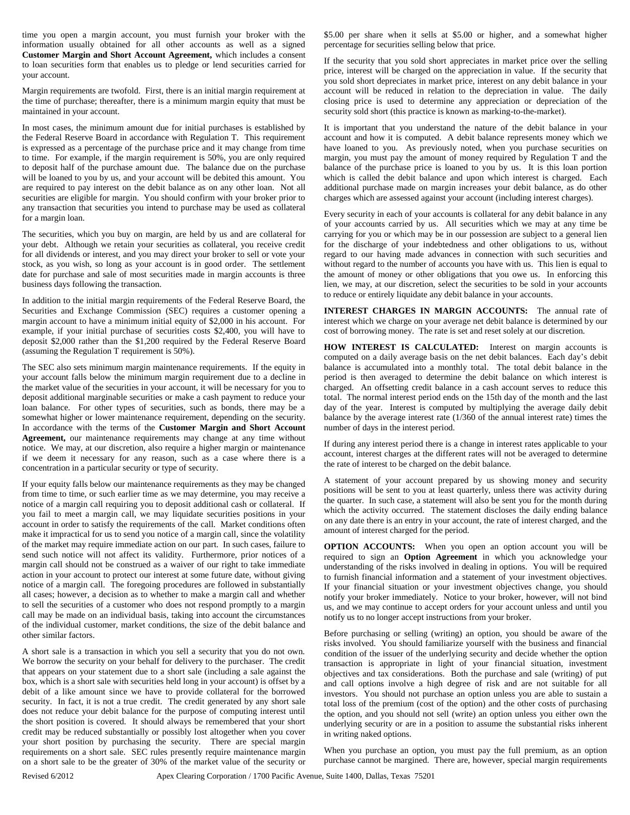time you open a margin account, you must furnish your broker with the information usually obtained for all other accounts as well as a signed **Customer Margin and Short Account Agreement,** which includes a consent to loan securities form that enables us to pledge or lend securities carried for your account.

Margin requirements are twofold. First, there is an initial margin requirement at the time of purchase; thereafter, there is a minimum margin equity that must be maintained in your account.

In most cases, the minimum amount due for initial purchases is established by the Federal Reserve Board in accordance with Regulation T. This requirement is expressed as a percentage of the purchase price and it may change from time to time. For example, if the margin requirement is 50%, you are only required to deposit half of the purchase amount due. The balance due on the purchase will be loaned to you by us, and your account will be debited this amount. You are required to pay interest on the debit balance as on any other loan. Not all securities are eligible for margin. You should confirm with your broker prior to any transaction that securities you intend to purchase may be used as collateral for a margin loan.

The securities, which you buy on margin, are held by us and are collateral for your debt. Although we retain your securities as collateral, you receive credit for all dividends or interest, and you may direct your broker to sell or vote your stock, as you wish, so long as your account is in good order. The settlement date for purchase and sale of most securities made in margin accounts is three business days following the transaction.

In addition to the initial margin requirements of the Federal Reserve Board, the Securities and Exchange Commission (SEC) requires a customer opening a margin account to have a minimum initial equity of \$2,000 in his account. For example, if your initial purchase of securities costs \$2,400, you will have to deposit \$2,000 rather than the \$1,200 required by the Federal Reserve Board (assuming the Regulation T requirement is 50%).

The SEC also sets minimum margin maintenance requirements. If the equity in your account falls below the minimum margin requirement due to a decline in the market value of the securities in your account, it will be necessary for you to deposit additional marginable securities or make a cash payment to reduce your loan balance. For other types of securities, such as bonds, there may be a somewhat higher or lower maintenance requirement, depending on the security. In accordance with the terms of the **Customer Margin and Short Account Agreement,** our maintenance requirements may change at any time without notice. We may, at our discretion, also require a higher margin or maintenance if we deem it necessary for any reason, such as a case where there is a concentration in a particular security or type of security.

If your equity falls below our maintenance requirements as they may be changed from time to time, or such earlier time as we may determine, you may receive a notice of a margin call requiring you to deposit additional cash or collateral. If you fail to meet a margin call, we may liquidate securities positions in your account in order to satisfy the requirements of the call. Market conditions often make it impractical for us to send you notice of a margin call, since the volatility of the market may require immediate action on our part. In such cases, failure to send such notice will not affect its validity. Furthermore, prior notices of a margin call should not be construed as a waiver of our right to take immediate action in your account to protect our interest at some future date, without giving notice of a margin call. The foregoing procedures are followed in substantially all cases; however, a decision as to whether to make a margin call and whether to sell the securities of a customer who does not respond promptly to a margin call may be made on an individual basis, taking into account the circumstances of the individual customer, market conditions, the size of the debit balance and other similar factors.

A short sale is a transaction in which you sell a security that you do not own. We borrow the security on your behalf for delivery to the purchaser. The credit that appears on your statement due to a short sale (including a sale against the box, which is a short sale with securities held long in your account) is offset by a debit of a like amount since we have to provide collateral for the borrowed security. In fact, it is not a true credit. The credit generated by any short sale does not reduce your debit balance for the purpose of computing interest until the short position is covered. It should always be remembered that your short credit may be reduced substantially or possibly lost altogether when you cover your short position by purchasing the security. There are special margin requirements on a short sale. SEC rules presently require maintenance margin on a short sale to be the greater of 30% of the market value of the security or

\$5.00 per share when it sells at \$5.00 or higher, and a somewhat higher percentage for securities selling below that price.

If the security that you sold short appreciates in market price over the selling price, interest will be charged on the appreciation in value. If the security that you sold short depreciates in market price, interest on any debit balance in your account will be reduced in relation to the depreciation in value. The daily closing price is used to determine any appreciation or depreciation of the security sold short (this practice is known as marking-to-the-market).

It is important that you understand the nature of the debit balance in your account and how it is computed. A debit balance represents money which we have loaned to you. As previously noted, when you purchase securities on margin, you must pay the amount of money required by Regulation T and the balance of the purchase price is loaned to you by us. It is this loan portion which is called the debit balance and upon which interest is charged. Each additional purchase made on margin increases your debit balance, as do other charges which are assessed against your account (including interest charges).

Every security in each of your accounts is collateral for any debit balance in any of your accounts carried by us. All securities which we may at any time be carrying for you or which may be in our possession are subject to a general lien for the discharge of your indebtedness and other obligations to us, without regard to our having made advances in connection with such securities and without regard to the number of accounts you have with us. This lien is equal to the amount of money or other obligations that you owe us. In enforcing this lien, we may, at our discretion, select the securities to be sold in your accounts to reduce or entirely liquidate any debit balance in your accounts.

**INTEREST CHARGES IN MARGIN ACCOUNTS:** The annual rate of interest which we charge on your average net debit balance is determined by our cost of borrowing money. The rate is set and reset solely at our discretion.

**HOW INTEREST IS CALCULATED:** Interest on margin accounts is computed on a daily average basis on the net debit balances. Each day's debit balance is accumulated into a monthly total. The total debit balance in the period is then averaged to determine the debit balance on which interest is charged. An offsetting credit balance in a cash account serves to reduce this total. The normal interest period ends on the 15th day of the month and the last day of the year. Interest is computed by multiplying the average daily debit balance by the average interest rate (1/360 of the annual interest rate) times the number of days in the interest period.

If during any interest period there is a change in interest rates applicable to your account, interest charges at the different rates will not be averaged to determine the rate of interest to be charged on the debit balance.

A statement of your account prepared by us showing money and security positions will be sent to you at least quarterly, unless there was activity during the quarter. In such case, a statement will also be sent you for the month during which the activity occurred. The statement discloses the daily ending balance on any date there is an entry in your account, the rate of interest charged, and the amount of interest charged for the period.

**OPTION ACCOUNTS:** When you open an option account you will be required to sign an **Option Agreement** in which you acknowledge your understanding of the risks involved in dealing in options. You will be required to furnish financial information and a statement of your investment objectives. If your financial situation or your investment objectives change, you should notify your broker immediately. Notice to your broker, however, will not bind us, and we may continue to accept orders for your account unless and until you notify us to no longer accept instructions from your broker.

Before purchasing or selling (writing) an option, you should be aware of the risks involved. You should familiarize yourself with the business and financial condition of the issuer of the underlying security and decide whether the option transaction is appropriate in light of your financial situation, investment objectives and tax considerations. Both the purchase and sale (writing) of put and call options involve a high degree of risk and are not suitable for all investors. You should not purchase an option unless you are able to sustain a total loss of the premium (cost of the option) and the other costs of purchasing the option, and you should not sell (write) an option unless you either own the underlying security or are in a position to assume the substantial risks inherent in writing naked options.

When you purchase an option, you must pay the full premium, as an option purchase cannot be margined. There are, however, special margin requirements